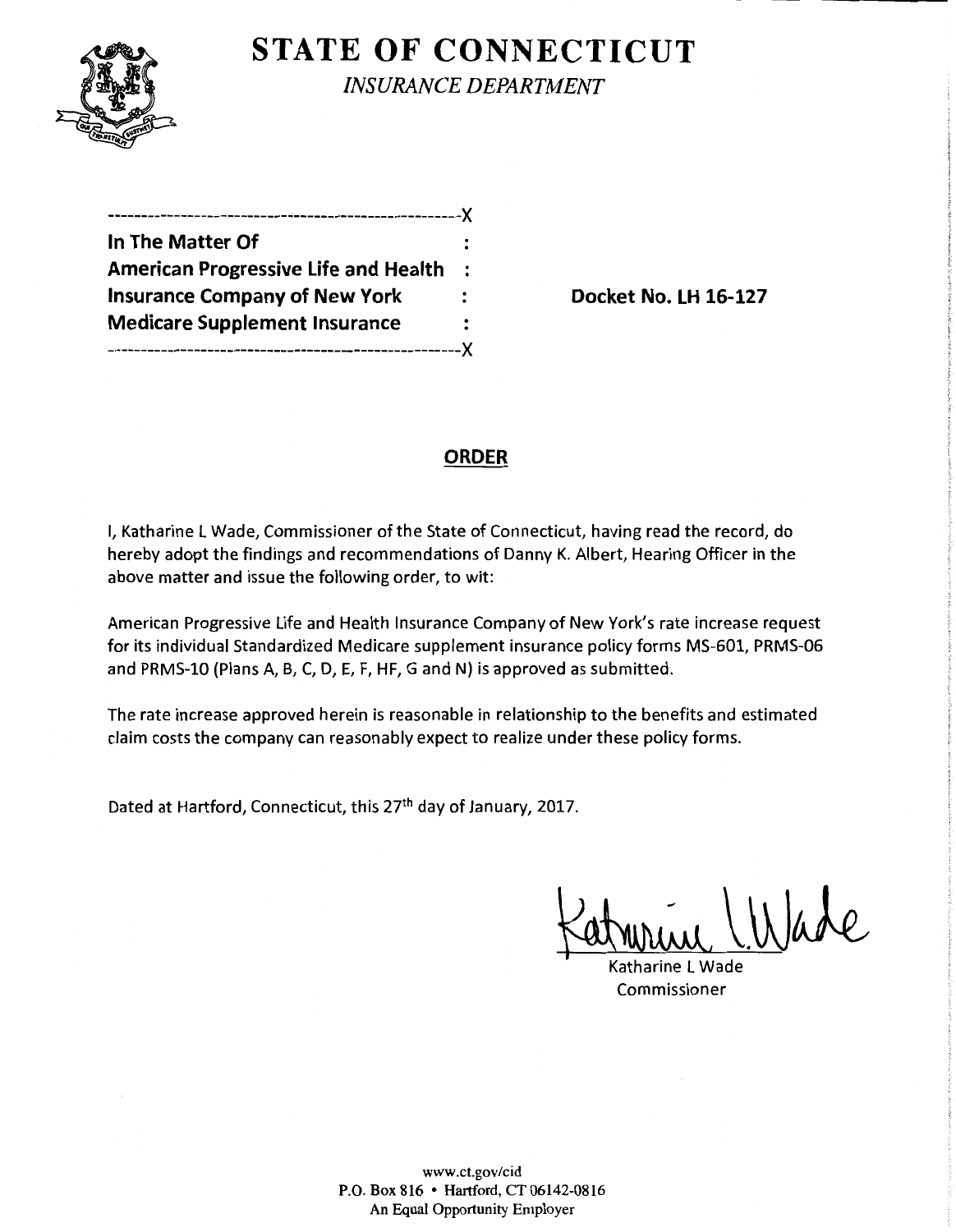

# **STATE OF CONNECTICUT**

*INSURANCE DEPARTMENT* 

| In The Matter Of                            |                      |
|---------------------------------------------|----------------------|
| <b>American Progressive Life and Health</b> | $\ddot{\phantom{a}}$ |
| <b>Insurance Company of New York</b>        |                      |
| <b>Medicare Supplement Insurance</b>        |                      |
|                                             |                      |

**Docket No. LH 16-127** 

## **ORDER**

I, Katharine L Wade, Commissioner of the State of Connecticut, having read the record, do hereby adopt the findings and recommendations of Danny K. Albert, Hearing Officer in the above matter and issue the following order, to wit:

American Progressive Life and Health Insurance Company of New York's rate increase request for its individual Standardized Medicare supplement insurance policy forms MS-601, PRMS-06 and PRMS-10 (Plans A, B, C, D, E, F, HF, G and N) is approved as submitted.

The rate increase approved herein is reasonable in relationship to the benefits and estimated claim costs the company can reasonably expect to realize under these policy forms.

Dated at Hartford, Connecticut, this 27<sup>th</sup> day of January, 2017.

Katurine Wade

Commissioner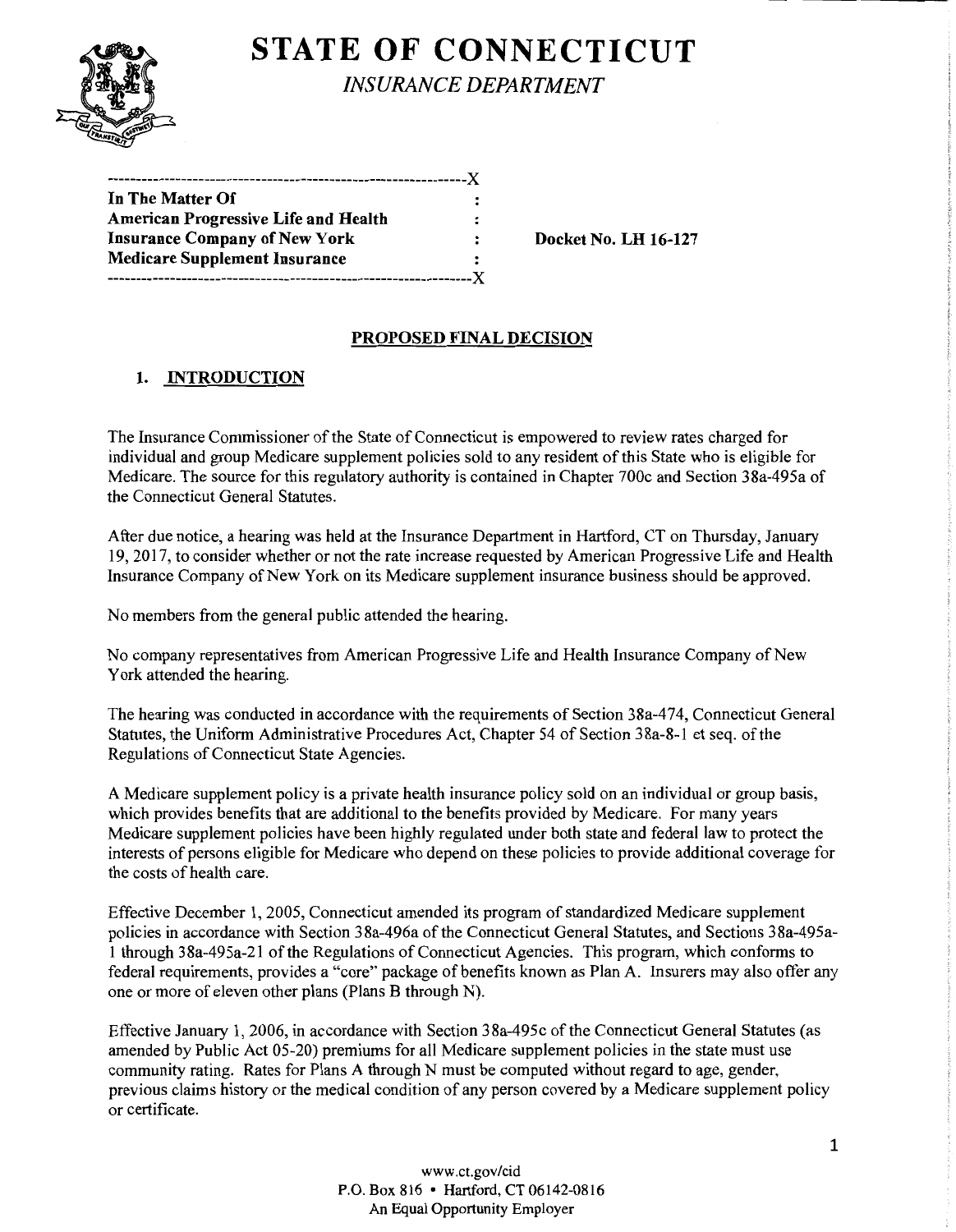# **STATE OF CONNECTICUT**

*INSURANCE DEPARTMENT* 

| In The Matter Of                            | :                    |
|---------------------------------------------|----------------------|
| <b>American Progressive Life and Health</b> | $\ddot{\phantom{a}}$ |
| <b>Insurance Company of New York</b>        |                      |
| <b>Medicare Supplement Insurance</b>        | $\ddot{\phantom{a}}$ |
|                                             |                      |

Docket No. LH 16-127

### PROPOSED FINAL DECISION

## 1. INTRODUCTION

The Insurance Commissioner of the State of Connecticut is empowered to review rates charged for individual and group Medicare supplement policies sold to any resident of this State who is eligible for Medicare. The source for this regulatory authority is contained in Chapter 700c and Section 38a-495a of the Connecticut General Statutes.

After due notice, a hearing was held at the Insurance Department in Hartford, CT on Thursday, January 19, 2017, to consider whether or not the rate increase requested by American Progressive Life and Health Insurance Company of New York on its Medicare supplement insurance business should be approved.

No members from the general public attended the hearing.

No company representatives from American Progressive Life and Health Insurance Company of New York attended the hearing.

The hearing was conducted in accordance with the requirements of Section 38a-474, Connecticut General Statutes, the Uniform Administrative Procedures Act, Chapter 54 of Section 38a-8-1 et seq. of the Regulations of Connecticut State Agencies.

A Medicare supplement policy is a private health insurance policy sold on an individual or group basis, which provides benefits that are additional to the benefits provided by Medicare. For many years Medicare supplement policies have been highly regulated under both state and federal law to protect the interests of persons eligible for Medicare who depend on these policies to provide additional coverage for the costs of health care.

Effective December 1, 2005, Connecticut amended its program of standardized Medicare supplement policies in accordance with Section 38a-496a of the Connecticut General Statutes, and Sections 38a-495a-1 through 38a-495a-21 ofthe Regulations ofConnecticut Agencies. This program, which conforms to federal requirements, provides a "core" package of benefits known as Plan A. Insurers may also offer any one or more of eleven other plans (Plans B through N).

Effective January 1, 2006, in accordance with Section 38a-495c of the Connecticut General Statutes (as amended by Public Act 05-20) premiums for all Medicare supplement policies in the state must use community rating. Rates for Plans A through N must be computed without regard to age, gender, previous claims history or the medical condition of any person covered by a Medicare supplement policy or certificate.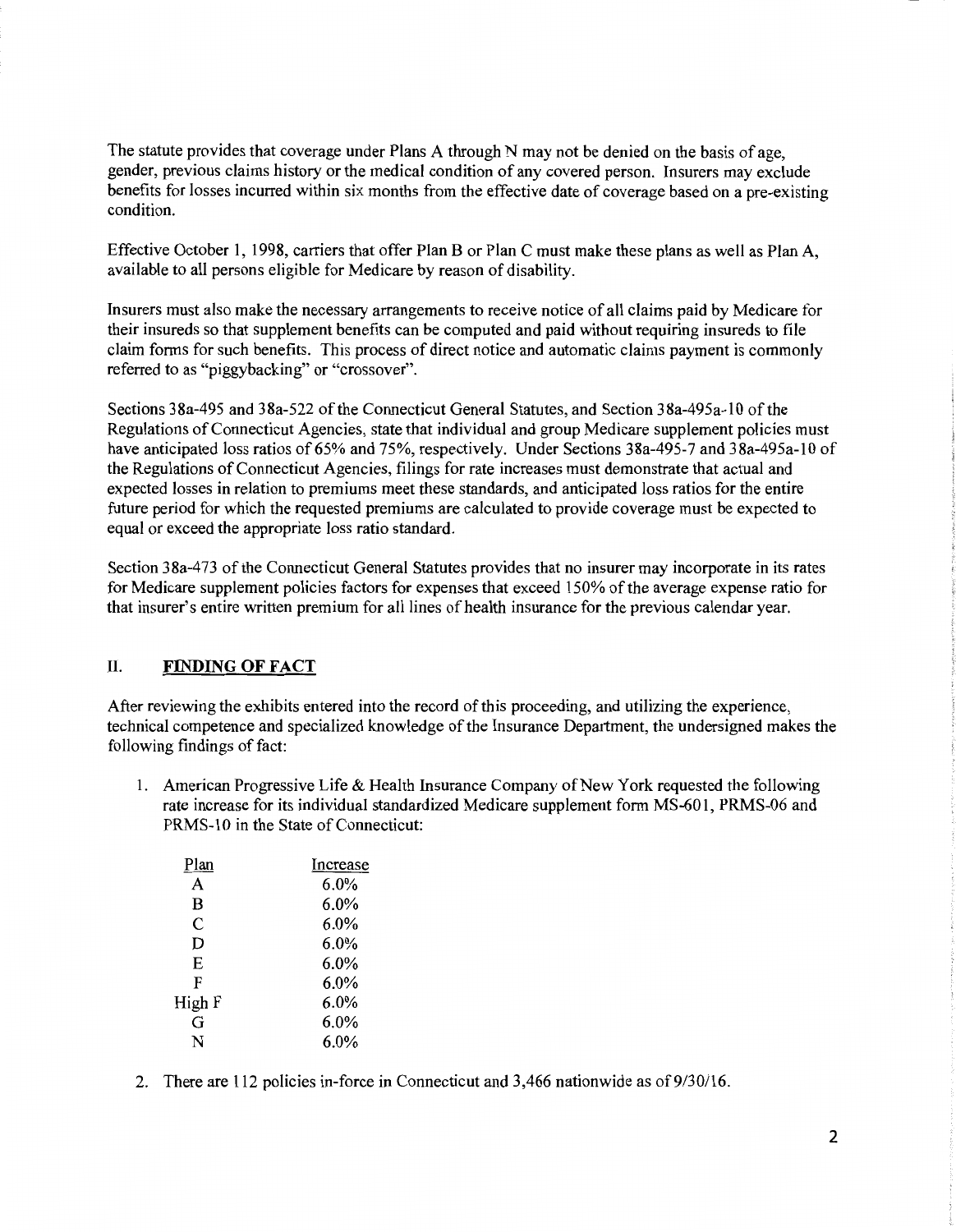The statute provides that coverage under Plans A through N may not be denied on the basis of age, gender, previous claims history or the medical condition of any covered person. Insurers may exclude benefits for losses incurred within six months from the effective date of coverage based on a pre-existing condition.

Effective October 1, 1998, carriers that offer Plan B or Plan C must make these plans as well as Plan A, available to all persons eligible for Medicare by reason of disability.

Insurers must also make the necessary arrangements to receive notice of all claims paid by Medicare for their insureds so that supplement benefits can be computed and paid without requiring insureds to file claim forms for such benefits. This process of direct notice and automatic claims payment is commonly referred to as "piggybacking" or "crossover".

Sections 38a-495 and 38a-522 of the Connecticut General Statutes, and Section 38a-495a-10 of the Regulations of Connecticut Agencies, state that individual and group Medicare supplement policies must have anticipated loss ratios of 65% and 75%, respectively. Under Sections 38a-495-7 and 38a-495a-10 of the Regulations of Connecticut Agencies, filings for rate increases must demonstrate that actual and expected losses in relation to premiums meet these standards, and anticipated loss ratios for the entire future period for which the requested premiums are calculated to provide coverage must be expected to equal or exceed the appropriate loss ratio standard.

Section 38a-473 of the Connecticut General Statutes provides that no insurer may incorporate in its rates for Medicare supplement policies factors for expenses that exceed 150% of the average expense ratio for that insurer's entire written premium for all lines of health insurance for the previous calendar year.

#### IL FINDING OF FACT

After reviewing the exhibits entered into the record of this proceeding, and utilizing the experience, technical competence and specialized knowledge of the Insurance Department, the undersigned makes the following findings of fact:

1. American Progressive Life & Health Insurance Company of New York requested the following rate increase for its individual standardized Medicare supplement form MS-601, PRMS-06 and PRMS-10 in the State of Connecticut:

| Plan   | Increase |
|--------|----------|
| A      | $6.0\%$  |
| B      | $6.0\%$  |
| C      | $6.0\%$  |
| D      | 6.0%     |
| E      | 6.0%     |
| F      | $6.0\%$  |
| High F | 6.0%     |
| G      | 6.0%     |
| N      | $6.0\%$  |

2. There are 112 policies in-force in Connecticut and 3,466 nationwide as of 9/30/16.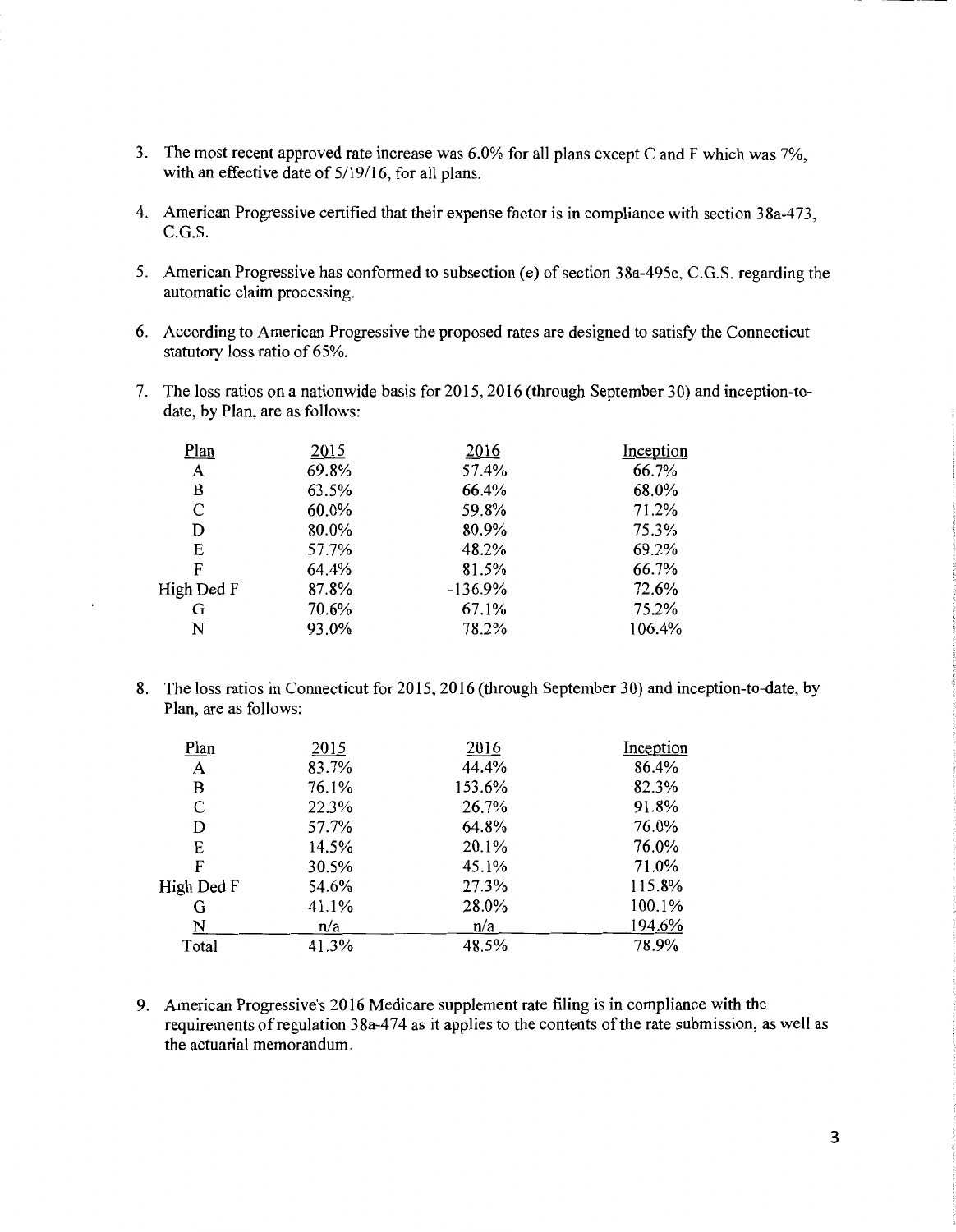- 3. The most recent approved rate increase was 6.0% for all plans except C and F which was 7%, with an effective date of 5/19/16, for all plans.
- 4. American Progressive certified that their expense factor is in compliance with section 38a-473, C.G.S.
- 5. American Progressive has conformed to subsection (e) of section 38a-495c, C.G.S. regarding the automatic claim processing.
- 6. According to American Progressive the proposed rates are designed to satisfy the Connecticut statutory loss ratio of 65%.
- 7. The loss ratios on a nationwide basis for 2015, 2016 (through September 30) and inception-todate, by Plan, are as follows:

| Plan       | 2015  | 2016      | Inception |
|------------|-------|-----------|-----------|
| A          | 69.8% | 57.4%     | 66.7%     |
| B          | 63.5% | 66.4%     | 68.0%     |
| C          | 60.0% | 59.8%     | 71.2%     |
| D          | 80.0% | 80.9%     | 75.3%     |
| E          | 57.7% | 48.2%     | 69.2%     |
| F          | 64.4% | 81.5%     | 66.7%     |
| High Ded F | 87.8% | $-136.9%$ | 72.6%     |
| G          | 70.6% | 67.1%     | 75.2%     |
| N          | 93.0% | 78.2%     | 106.4%    |
|            |       |           |           |

8. The loss ratios in Connecticut for 2015, 2016 (through September 30) and inception-to-date, by Plan, are as follows:

| Plan       | 2015  | 2016   | Inception |
|------------|-------|--------|-----------|
| A          | 83.7% | 44.4%  | 86.4%     |
| B          | 76.1% | 153.6% | 82.3%     |
| C          | 22.3% | 26.7%  | 91.8%     |
| D          | 57.7% | 64.8%  | 76.0%     |
| E          | 14.5% | 20.1%  | 76.0%     |
| F          | 30.5% | 45.1%  | 71.0%     |
| High Ded F | 54.6% | 27.3%  | 115.8%    |
| G          | 41.1% | 28.0%  | 100.1%    |
| N          | n/a   | n/a    | 194.6%    |
| Total      | 41.3% | 48.5%  | 78.9%     |
|            |       |        |           |

9. American Progressive's 2016 Medicare supplement rate filing is in compliance with the requirements of regulation 38a-474 as it applies to the contents of the rate submission, as well as the actuarial memorandum.